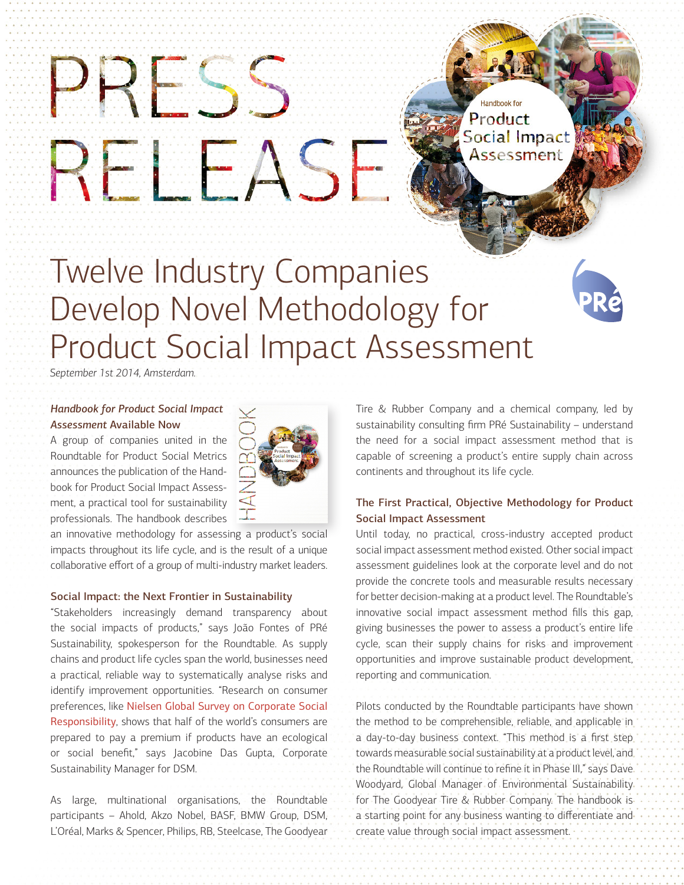# Twelve Industry Companies Develop Novel Methodology for Product Social Impact Assessment

*September 1st 2014, Amsterdam.*

## *Handbook for Product Social Impact Assessment* Available Now

PRESS

RELEASE

A group of companies united in the Roundtable for Product Social Metrics announces the publication of the Handbook for Product Social Impact Assessment, a practical tool for sustainability professionals. The handbook describes



an innovative methodology for assessing a product's social impacts throughout its life cycle, and is the result of a unique collaborative effort of a group of multi-industry market leaders.

## Social Impact: the Next Frontier in Sustainability

"Stakeholders increasingly demand transparency about the social impacts of products," says João Fontes of PRé Sustainability, spokesperson for the Roundtable. As supply chains and product life cycles span the world, businesses need a practical, reliable way to systematically analyse risks and identify improvement opportunities. "Research on consumer preferences, like [Nielsen Global Survey on Corporate Social](http://www.nielsen.com/us/en/reports/2014/doing-well-by-doing-good.html) [Responsibility](http://www.nielsen.com/us/en/reports/2014/doing-well-by-doing-good.html), shows that half of the world's consumers are prepared to pay a premium if products have an ecological or social benefit," says Jacobine Das Gupta, Corporate Sustainability Manager for DSM.

As large, multinational organisations, the Roundtable participants – Ahold, Akzo Nobel, BASF, BMW Group, DSM, L'Oréal, Marks & Spencer, Philips, RB, Steelcase, The Goodyear

Tire & Rubber Company and a chemical company, led by sustainability consulting firm PRé Sustainability – understand the need for a social impact assessment method that is capable of screening a product's entire supply chain across continents and throughout its life cycle.

Handbook for Product

**Social Impact** 

Assessment

## The First Practical, Objective Methodology for Product Social Impact Assessment

Until today, no practical, cross-industry accepted product social impact assessment method existed. Other social impact assessment guidelines look at the corporate level and do not provide the concrete tools and measurable results necessary for better decision-making at a product level. The Roundtable's innovative social impact assessment method fills this gap, giving businesses the power to assess a product's entire life cycle, scan their supply chains for risks and improvement opportunities and improve sustainable product development, reporting and communication.

Pilots conducted by the Roundtable participants have shown the method to be comprehensible, reliable, and applicable in a day-to-day business context. "This method is a first step towards measurable social sustainability at a product level, and the Roundtable will continue to refine it in Phase III," says Dave Woodyard, Global Manager of Environmental Sustainability for The Goodyear Tire & Rubber Company. The handbook is a starting point for any business wanting to differentiate and create value through social impact assessment.